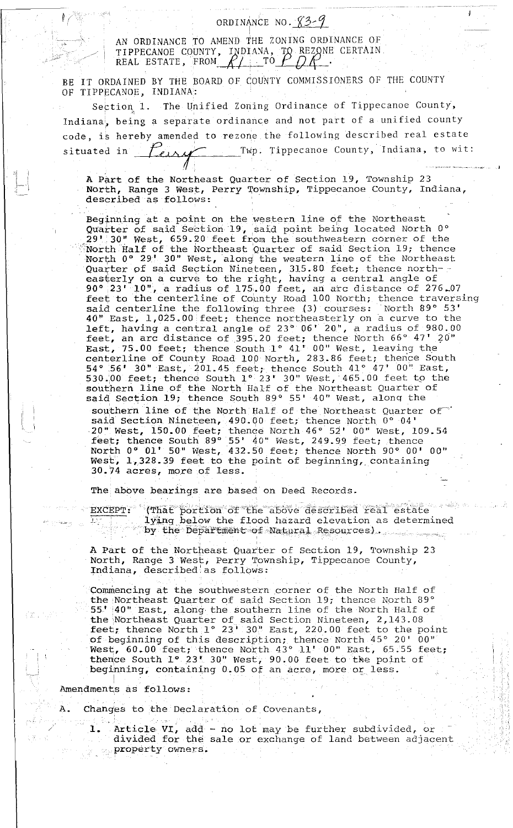## ORDINANCE NO.  $83-9$

' AN ORDINANCE TO AMEND THE ZONING ORDINANCE OF AN ORDINANCE TO AMEND THE ZONING ORDINANCE OF<br>TIPPECANOE COUNTY, INDIANA, TO REZONE CERTAIN REAL ESTATE, FROM  $R_1$  TO  $P$   $\mathcal{Q}R$ .

BE IT ORDAINED BY THE BOARD OF COUNTY COMMISSIONERS OF THE COUNTY OF TIPPECANOE, INDIANA:

Section 1. The Unified Zoning Ordinance of Tippecanoe County, Indiana, being a separate ordinance and not part of a unified county code, is hereby amended to rezone the following described real estate situated in  $\text{Fens}$  Twp. Tippecanoe County, Indiana, to wit:

A Part of the Northeast Quarter of Section 19, Township 23 North, Range 3 West, Perry Township, Tippecanoe County, Indiana, described as follows:

Beginning at a point on the western line of the Northeast Quarter of said Section 19, said point being located North 0° 29' 30" West, 659.20 feet from the southwestern corner of the Worth Half of the Northeast Quarter of said Section 19; thence North 0° 29' 30" West, along the western line of the Northeast Quarter of said Section Nineteen, 315.80 feet; thence northeasterly on a curve to the right, having a central angle of 90° 23' 10", a radius of 175.00 feet, an arc distance of 276-07 feet to the centerline of County Road 100 North; thence traversing said centerline the following three (3) courses: North 89° 53' 40" East, 1,025.00 feet; thence northeasterly on a curve to the left, having a central angle of 23° 06' 20", a radius of 980.00 feet, an arc distance of 395.20 feet; thence North 66° 47' 20" East, 75.00 feet; thence South 1° 41' 00" West, leaving the centerline of County Road 100 North, 283.86 feet; thence South 54° .56' 30" East, 201.45 feet; thence South 41° 47' 00" East, 530.00 feet; thence South  $1^\circ$  23' 30" West, 465.00 feet to the southern line of the North Half of the Northeast Quarter of said Section 19; thence South 89° 55' 40" West, along the southern line of the North Half of the Northeast Quarter of said Section. Nineteen, 490.00 feet; thence North 0° 04' ·20" West, 150.00 feet; thence North 46° 52' 00" west, 109.54 feet; thence South 89° 55' 40" West, 249.99 feet; thence North O" 01' 50" West, 432.50 feet; thence North 90° 00' 00" West, 1,328.39 feet to the point of beginning, containing 30.74 acres, more of less.

The above bearings are based on Deed Records.

EXCEPT: That portion of the above described real estate lying below the flood hazard elevation as determined  $\sim$  by the Department of Natural Resources) . . . . . . .

A Part of the Northeast Quarter of Section 19, Township 23 North, Range 3 West, Perry Township, Tippecanoe County, Indiana, described'as follows:

Commencing at the southwestern corner of the North Half of the Northeast 55' 40" East, Quarter of said Section along the southern line 19; thence North 89° of the North Half of the Northeast Quarter of said Section Nineteen, 2,143.08 feet; thence North 1° 23' 30" East, 220.00 feet to the point of beginning of this description; thence North 45° 20' 00" West, 60.00 feet; thence North 43° 11' 00" East, 65.55 feet; thence South 1° 23' 30" West, 90.00 feet to the point of beginning, containing 0.05 of an acre, more or less.

Amendments as follows:

-~~-

A. Changes to the Declaration of Covenants,

! • -, I

Article VI, add - no lot may be further subdivided, or divided for the sale or exchange of land between adjacent property owners.